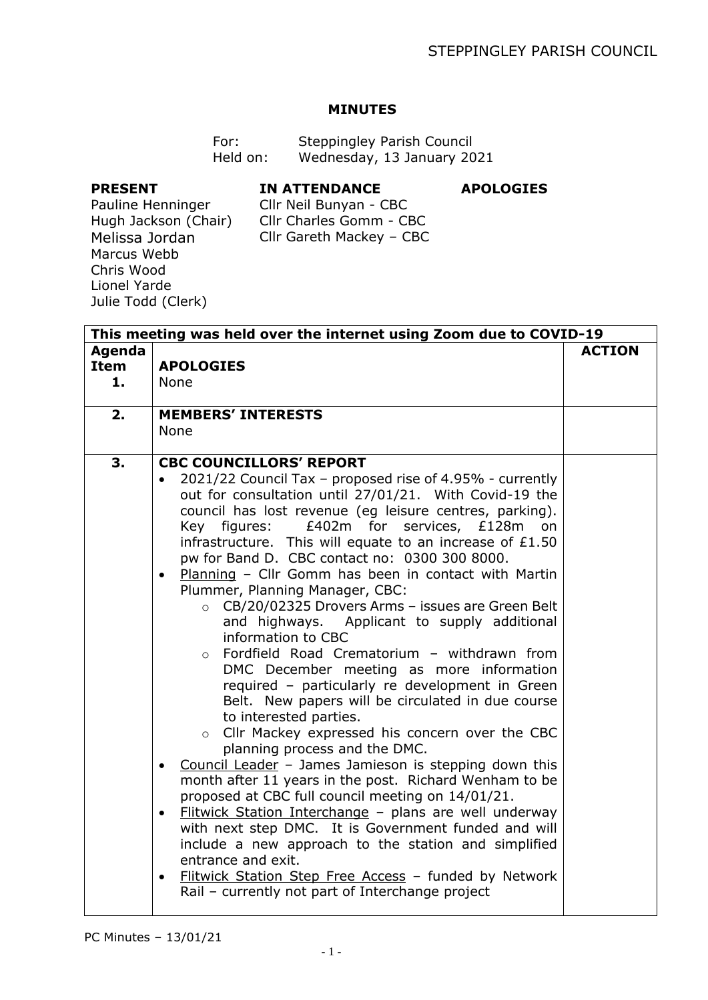## **MINUTES**

| For:     | Steppingley Parish Council |
|----------|----------------------------|
| Held on: | Wednesday, 13 January 2021 |

## **PRESENT**

# **IN ATTENDANCE**

#### **APOLOGIES**

Pauline Henninger Hugh Jackson (Chair) Melissa Jordan Marcus Webb Chris Wood Lionel Yarde Julie Todd (Clerk)

Cllr Neil Bunyan - CBC Cllr Charles Gomm - CBC Cllr Gareth Mackey – CBC

| This meeting was held over the internet using Zoom due to COVID-19 |                                                                                                                                                                                                                                                                                                                                                                                                                                                                                                                                                                                                                                                                                                                                                                                                                                                                                                                                                                                                                                                                                                                                                                                                                                                                                                                                                                                                                                                                            |               |
|--------------------------------------------------------------------|----------------------------------------------------------------------------------------------------------------------------------------------------------------------------------------------------------------------------------------------------------------------------------------------------------------------------------------------------------------------------------------------------------------------------------------------------------------------------------------------------------------------------------------------------------------------------------------------------------------------------------------------------------------------------------------------------------------------------------------------------------------------------------------------------------------------------------------------------------------------------------------------------------------------------------------------------------------------------------------------------------------------------------------------------------------------------------------------------------------------------------------------------------------------------------------------------------------------------------------------------------------------------------------------------------------------------------------------------------------------------------------------------------------------------------------------------------------------------|---------------|
| Agenda<br>Item<br>1.                                               | <b>APOLOGIES</b><br><b>None</b>                                                                                                                                                                                                                                                                                                                                                                                                                                                                                                                                                                                                                                                                                                                                                                                                                                                                                                                                                                                                                                                                                                                                                                                                                                                                                                                                                                                                                                            | <b>ACTION</b> |
| 2.                                                                 | <b>MEMBERS' INTERESTS</b><br><b>None</b>                                                                                                                                                                                                                                                                                                                                                                                                                                                                                                                                                                                                                                                                                                                                                                                                                                                                                                                                                                                                                                                                                                                                                                                                                                                                                                                                                                                                                                   |               |
| 3.                                                                 | <b>CBC COUNCILLORS' REPORT</b><br>2021/22 Council Tax - proposed rise of 4.95% - currently<br>out for consultation until 27/01/21. With Covid-19 the<br>council has lost revenue (eg leisure centres, parking).<br>£402m for services, £128m<br>Key figures:<br>on<br>infrastructure. This will equate to an increase of $£1.50$<br>pw for Band D. CBC contact no: 0300 300 8000.<br>Planning - Cllr Gomm has been in contact with Martin<br>$\bullet$<br>Plummer, Planning Manager, CBC:<br>CB/20/02325 Drovers Arms - issues are Green Belt<br>$\circ$<br>and highways. Applicant to supply additional<br>information to CBC<br>Fordfield Road Crematorium - withdrawn from<br>$\circ$<br>DMC December meeting as more information<br>required - particularly re development in Green<br>Belt. New papers will be circulated in due course<br>to interested parties.<br>o Cllr Mackey expressed his concern over the CBC<br>planning process and the DMC.<br>Council Leader - James Jamieson is stepping down this<br>month after 11 years in the post. Richard Wenham to be<br>proposed at CBC full council meeting on 14/01/21.<br>Flitwick Station Interchange - plans are well underway<br>$\bullet$<br>with next step DMC. It is Government funded and will<br>include a new approach to the station and simplified<br>entrance and exit.<br>Flitwick Station Step Free Access - funded by Network<br>$\bullet$<br>Rail - currently not part of Interchange project |               |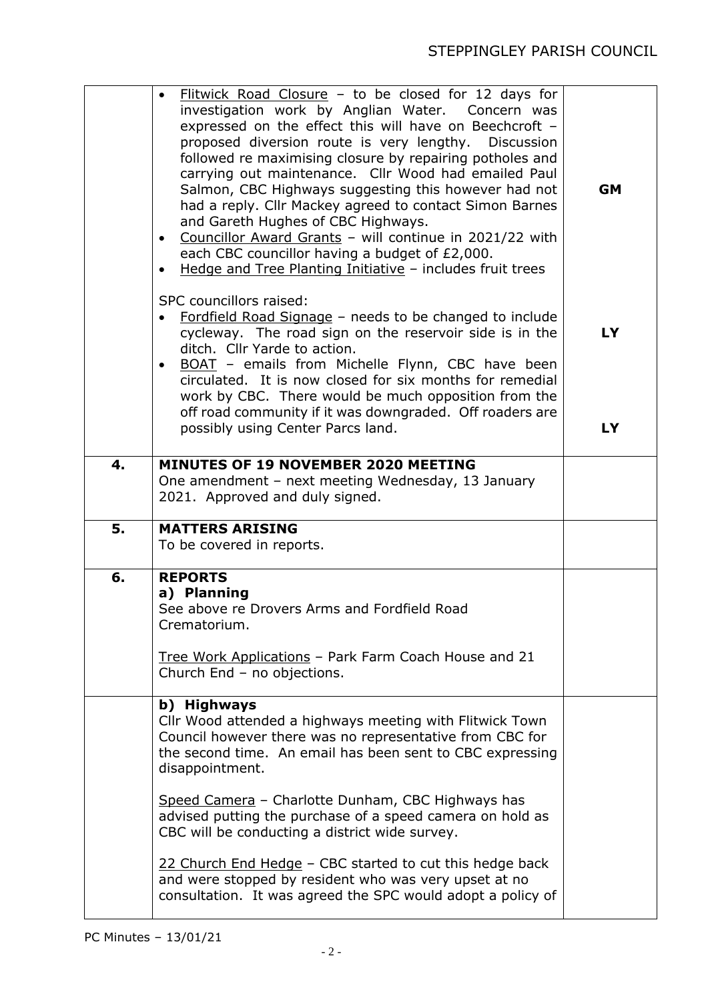|    | Flitwick Road Closure - to be closed for 12 days for<br>investigation work by Anglian Water. Concern was<br>expressed on the effect this will have on Beechcroft -<br>proposed diversion route is very lengthy.<br>Discussion<br>followed re maximising closure by repairing potholes and<br>carrying out maintenance. Cllr Wood had emailed Paul<br>Salmon, CBC Highways suggesting this however had not<br>had a reply. Cllr Mackey agreed to contact Simon Barnes<br>and Gareth Hughes of CBC Highways.<br>Councillor Award Grants - will continue in 2021/22 with<br>$\bullet$<br>each CBC councillor having a budget of £2,000.<br>Hedge and Tree Planting Initiative - includes fruit trees | <b>GM</b>       |
|----|---------------------------------------------------------------------------------------------------------------------------------------------------------------------------------------------------------------------------------------------------------------------------------------------------------------------------------------------------------------------------------------------------------------------------------------------------------------------------------------------------------------------------------------------------------------------------------------------------------------------------------------------------------------------------------------------------|-----------------|
|    | SPC councillors raised:<br>Fordfield Road Signage - needs to be changed to include<br>cycleway. The road sign on the reservoir side is in the<br>ditch. Cllr Yarde to action.<br>BOAT - emails from Michelle Flynn, CBC have been<br>$\bullet$<br>circulated. It is now closed for six months for remedial<br>work by CBC. There would be much opposition from the<br>off road community if it was downgraded. Off roaders are<br>possibly using Center Parcs land.                                                                                                                                                                                                                               | <b>LY</b><br>LY |
| 4. | MINUTES OF 19 NOVEMBER 2020 MEETING<br>One amendment - next meeting Wednesday, 13 January<br>2021. Approved and duly signed.                                                                                                                                                                                                                                                                                                                                                                                                                                                                                                                                                                      |                 |
| 5. | <b>MATTERS ARISING</b><br>To be covered in reports.                                                                                                                                                                                                                                                                                                                                                                                                                                                                                                                                                                                                                                               |                 |
| 6. | <b>REPORTS</b><br>a) Planning<br>See above re Drovers Arms and Fordfield Road<br>Crematorium.<br>Tree Work Applications - Park Farm Coach House and 21<br>Church End - no objections.                                                                                                                                                                                                                                                                                                                                                                                                                                                                                                             |                 |
|    | b) Highways<br>Cllr Wood attended a highways meeting with Flitwick Town<br>Council however there was no representative from CBC for<br>the second time. An email has been sent to CBC expressing<br>disappointment.                                                                                                                                                                                                                                                                                                                                                                                                                                                                               |                 |
|    | Speed Camera - Charlotte Dunham, CBC Highways has<br>advised putting the purchase of a speed camera on hold as<br>CBC will be conducting a district wide survey.<br>22 Church End Hedge - CBC started to cut this hedge back<br>and were stopped by resident who was very upset at no<br>consultation. It was agreed the SPC would adopt a policy of                                                                                                                                                                                                                                                                                                                                              |                 |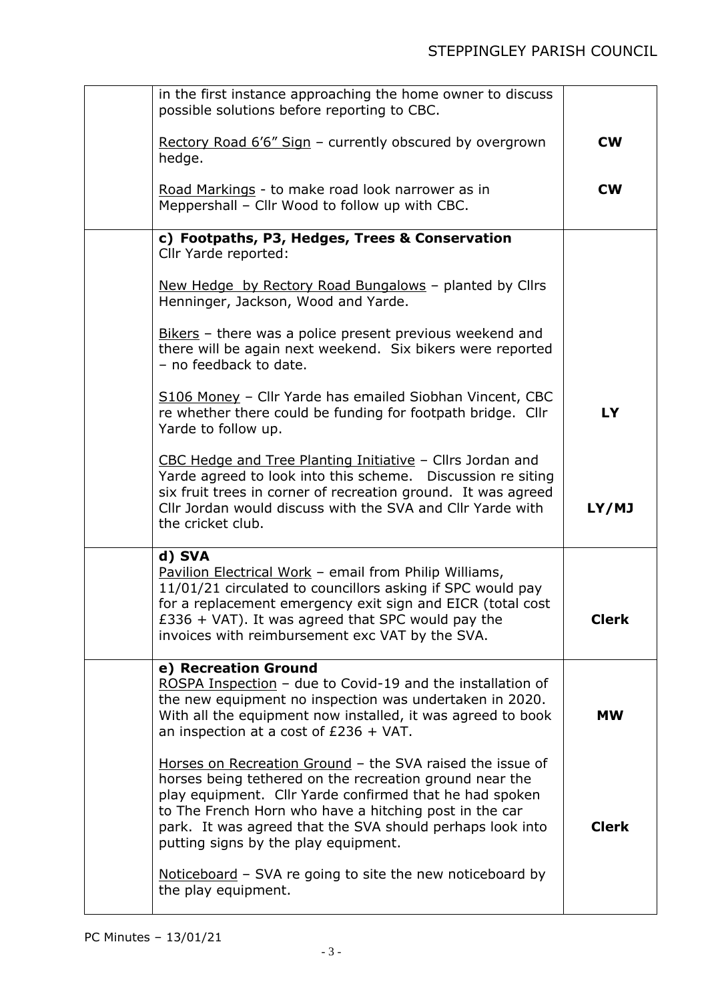| in the first instance approaching the home owner to discuss<br>possible solutions before reporting to CBC.                                                                                                                                                                                                                                     |              |
|------------------------------------------------------------------------------------------------------------------------------------------------------------------------------------------------------------------------------------------------------------------------------------------------------------------------------------------------|--------------|
| Rectory Road 6'6" Sign - currently obscured by overgrown<br>hedge.                                                                                                                                                                                                                                                                             | <b>CW</b>    |
| Road Markings - to make road look narrower as in<br>Meppershall - Cllr Wood to follow up with CBC.                                                                                                                                                                                                                                             | <b>CW</b>    |
| c) Footpaths, P3, Hedges, Trees & Conservation<br>Cllr Yarde reported:                                                                                                                                                                                                                                                                         |              |
| New Hedge by Rectory Road Bungalows - planted by Clirs<br>Henninger, Jackson, Wood and Yarde.                                                                                                                                                                                                                                                  |              |
| Bikers - there was a police present previous weekend and<br>there will be again next weekend. Six bikers were reported<br>- no feedback to date.                                                                                                                                                                                               |              |
| S106 Money - Cllr Yarde has emailed Siobhan Vincent, CBC<br>re whether there could be funding for footpath bridge. Cllr<br>Yarde to follow up.                                                                                                                                                                                                 | <b>LY</b>    |
| CBC Hedge and Tree Planting Initiative - Cllrs Jordan and<br>Yarde agreed to look into this scheme. Discussion re siting<br>six fruit trees in corner of recreation ground. It was agreed<br>Cllr Jordan would discuss with the SVA and Cllr Yarde with<br>the cricket club.                                                                   | LY/MJ        |
| d) SVA<br>Pavilion Electrical Work - email from Philip Williams,<br>11/01/21 circulated to councillors asking if SPC would pay<br>for a replacement emergency exit sign and EICR (total cost<br>$£336 + VAT$ ). It was agreed that SPC would pay the<br>invoices with reimbursement exc VAT by the SVA.                                        | <b>Clerk</b> |
| e) Recreation Ground<br>ROSPA Inspection - due to Covid-19 and the installation of<br>the new equipment no inspection was undertaken in 2020.<br>With all the equipment now installed, it was agreed to book<br>an inspection at a cost of $£236 + VAT$ .                                                                                      | <b>MW</b>    |
| Horses on Recreation Ground - the SVA raised the issue of<br>horses being tethered on the recreation ground near the<br>play equipment. Cllr Yarde confirmed that he had spoken<br>to The French Horn who have a hitching post in the car<br>park. It was agreed that the SVA should perhaps look into<br>putting signs by the play equipment. | <b>Clerk</b> |
| Noticeboard - SVA re going to site the new noticeboard by<br>the play equipment.                                                                                                                                                                                                                                                               |              |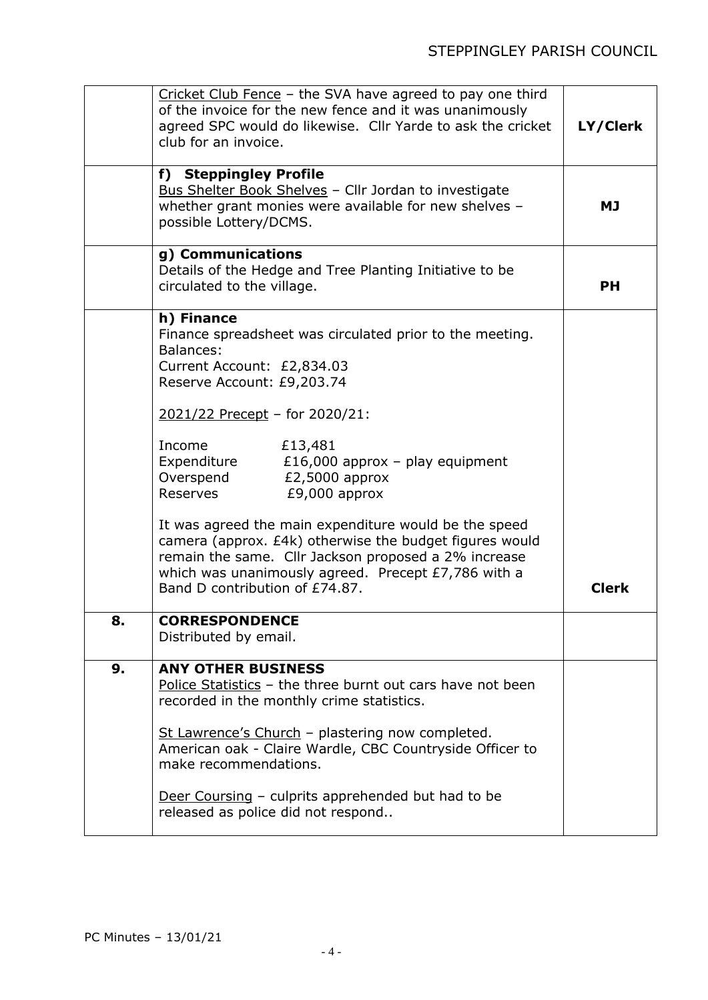|    | Cricket Club Fence - the SVA have agreed to pay one third<br>of the invoice for the new fence and it was unanimously<br>agreed SPC would do likewise. Cllr Yarde to ask the cricket<br>club for an invoice.                                                                                                                                                                                                                                                                                                                                                                                 | LY/Clerk     |
|----|---------------------------------------------------------------------------------------------------------------------------------------------------------------------------------------------------------------------------------------------------------------------------------------------------------------------------------------------------------------------------------------------------------------------------------------------------------------------------------------------------------------------------------------------------------------------------------------------|--------------|
|    | f) Steppingley Profile<br>Bus Shelter Book Shelves - Cllr Jordan to investigate<br>whether grant monies were available for new shelves -<br>possible Lottery/DCMS.                                                                                                                                                                                                                                                                                                                                                                                                                          | <b>MJ</b>    |
|    | g) Communications<br>Details of the Hedge and Tree Planting Initiative to be<br>circulated to the village.                                                                                                                                                                                                                                                                                                                                                                                                                                                                                  | <b>PH</b>    |
|    | h) Finance<br>Finance spreadsheet was circulated prior to the meeting.<br>Balances:<br>Current Account: £2,834.03<br>Reserve Account: £9,203.74<br>2021/22 Precept - for 2020/21:<br>£13,481<br>Income<br>Expenditure<br>£16,000 approx - play equipment<br>Overspend<br>£2,5000 approx<br>Reserves<br>$£9,000$ approx<br>It was agreed the main expenditure would be the speed<br>camera (approx. £4k) otherwise the budget figures would<br>remain the same. Cllr Jackson proposed a 2% increase<br>which was unanimously agreed. Precept £7,786 with a<br>Band D contribution of £74.87. | <b>Clerk</b> |
| 8. | <b>CORRESPONDENCE</b><br>Distributed by email.                                                                                                                                                                                                                                                                                                                                                                                                                                                                                                                                              |              |
| 9. | <b>ANY OTHER BUSINESS</b><br>Police Statistics - the three burnt out cars have not been<br>recorded in the monthly crime statistics.<br>St Lawrence's Church - plastering now completed.<br>American oak - Claire Wardle, CBC Countryside Officer to<br>make recommendations.<br>Deer Coursing – culprits apprehended but had to be<br>released as police did not respond                                                                                                                                                                                                                   |              |